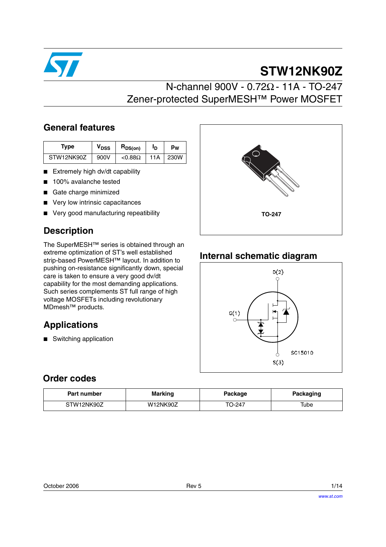

# **STW12NK90Z**

# N-channel 900V - 0.72Ω - 11A - TO-247 Zener-protected SuperMESH™ Power MOSFET

### **General features**

| Type       | V <sub>DSS</sub> | $R_{DS(on)}$   | םי  | pw   |
|------------|------------------|----------------|-----|------|
| STW12NK90Z | 900V             | $< 0.88\Omega$ | 11A | 230W |

- Extremely high dv/dt capability
- 100% avalanche tested
- Gate charge minimized
- Very low intrinsic capacitances
- Very good manufacturing repeatibility

## **Description**

The SuperMESH™ series is obtained through an extreme optimization of ST's well established strip-based PowerMESH™ layout. In addition to pushing on-resistance significantly down, special care is taken to ensure a very good dv/dt capability for the most demanding applications. Such series complements ST full range of high voltage MOSFETs including revolutionary MDmesh™ products.

## **Applications**

■ Switching application



### **Internal schematic diagram**



### **Order codes**

| <b>Marking</b><br>Part number |          | Package | Packaging |
|-------------------------------|----------|---------|-----------|
| STW12NK90Z                    | W12NK90Z | TO-247  | Tube      |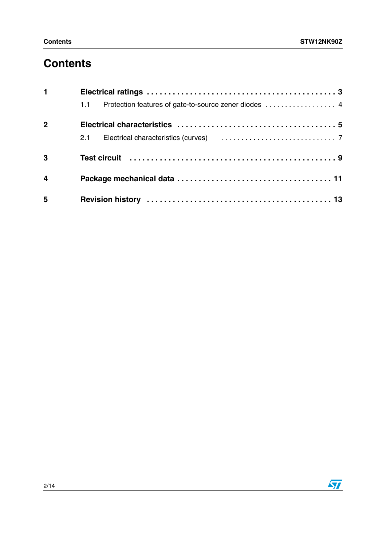# **Contents**

| $\mathbf 1$    |                                                                                                                |  |
|----------------|----------------------------------------------------------------------------------------------------------------|--|
|                | Protection features of gate-to-source zener diodes  4<br>1.1                                                   |  |
| $\overline{2}$ |                                                                                                                |  |
|                |                                                                                                                |  |
| $\overline{3}$ | Test circuit (and international contract of the contract of the contract of the Test of Test of Test of Test o |  |
| $\overline{4}$ |                                                                                                                |  |
| 5              |                                                                                                                |  |

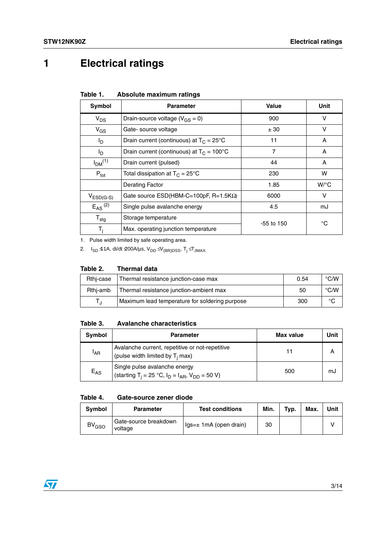# **1 Electrical ratings**

| Table 1. | Absolute maximum ratings |
|----------|--------------------------|
|----------|--------------------------|

| Symbol                  | <b>Parameter</b>                                    | Value          | Unit               |
|-------------------------|-----------------------------------------------------|----------------|--------------------|
| $V_{DS}$                | Drain-source voltage ( $V_{GS} = 0$ )               | 900            | v                  |
| $V_{GS}$                | Gate-source voltage                                 | ± 30           | v                  |
| $I_D$                   | Drain current (continuous) at $T_c = 25^{\circ}$ C  | 11             | A                  |
| $I_{\text{D}}$          | Drain current (continuous) at $T_c = 100^{\circ}$ C | $\overline{7}$ | A                  |
| $I_{DM}$ <sup>(1)</sup> | Drain current (pulsed)                              | 44             | A                  |
| $P_{\text{tot}}$        | Total dissipation at $T_C = 25^{\circ}C$            | 230            | W                  |
|                         | <b>Derating Factor</b>                              | 1.85           | $W$ <sup>o</sup> C |
| $V_{ESD(G-S)}$          | Gate source $ESD(HBM-C=100pF, R=1.5K\Omega)$        | 6000           | v                  |
| $E_{AS}$ <sup>(2)</sup> | Single pulse avalanche energy                       | 4.5            | mJ                 |
| $T_{\text{stg}}$        | Storage temperature                                 | $-55$ to 150   | °C                 |
| $T_i$                   | Max. operating junction temperature                 |                |                    |

1. Pulse width limited by safe operating area.

2. I<sub>SD</sub> ≤1A, di/dt  $\text{\textsterling}00A/\mu s$ , V<sub>DD</sub>  $\text{\textsterling}V_{(BR)DSS}$ , T<sub>j</sub>  $\text{\textsterling}T_{JMAX}$ .

#### **Table 2. Thermal data**

| Rthi-case | Thermal resistance junction-case max           | 0.54 | $\degree$ C/W |
|-----------|------------------------------------------------|------|---------------|
| Rthi-amb  | Thermal resistance junction-ambient max        | 50   | $\degree$ C/W |
|           | Maximum lead temperature for soldering purpose | 300  | °C            |

#### **Table 3. Avalanche characteristics**

| Symbol          | <b>Parameter</b>                                                                                      | Max value | Unit |
|-----------------|-------------------------------------------------------------------------------------------------------|-----------|------|
| <sup>I</sup> AR | Avalanche current, repetitive or not-repetitive<br>(pulse width limited by $T_i$ max)                 |           | A    |
| $E_{AS}$        | Single pulse avalanche energy<br>(starting T <sub>i</sub> = 25 °C, $I_D = I_{AR}$ , $V_{DD} = 50 V$ ) | 500       | mJ   |

#### **Table 4. Gate-source zener diode**

| <b>Symbol</b>           | <b>Parameter</b>                 | <b>Test conditions</b>     | Min. | Typ. | Max. | Unit |
|-------------------------|----------------------------------|----------------------------|------|------|------|------|
| <b>BV<sub>GSO</sub></b> | Gate-source breakdown<br>voltage | $lgs = ± 1mA$ (open drain) | 30   |      |      |      |

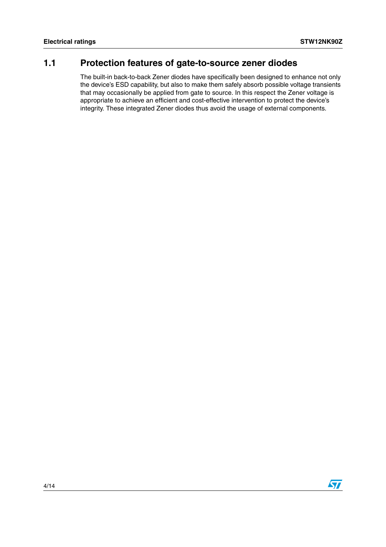### <span id="page-3-0"></span>**1.1 Protection features of gate-to-source zener diodes**

The built-in back-to-back Zener diodes have specifically been designed to enhance not only the device's ESD capability, but also to make them safely absorb possible voltage transients that may occasionally be applied from gate to source. In this respect the Zener voltage is appropriate to achieve an efficient and cost-effective intervention to protect the device's integrity. These integrated Zener diodes thus avoid the usage of external components.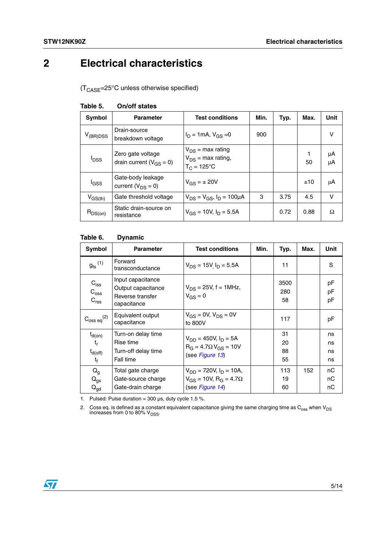# <span id="page-4-0"></span>**2 Electrical characteristics**

 $(T_{\text{CASE}}=25^{\circ}C$  unless otherwise specified)

| Symbol           | <b>Parameter</b>                                    | <b>Test conditions</b>                                            | Min. | Typ. | Max. | Unit     |
|------------------|-----------------------------------------------------|-------------------------------------------------------------------|------|------|------|----------|
| $V_{(BR)DSS}$    | Drain-source<br>breakdown voltage                   | $I_D = 1 \text{mA}, V_{GS} = 0$                                   | 900  |      |      | v        |
| <sup>l</sup> DSS | Zero gate voltage<br>drain current ( $V_{GS} = 0$ ) | $V_{DS}$ = max rating<br>$V_{DS}$ = max rating,<br>$T_C = 125$ °C |      |      | 50   | μA<br>μA |
| l <sub>GSS</sub> | Gate-body leakage<br>current ( $V_{DS} = 0$ )       | $V_{GS} = \pm 20V$                                                |      |      | ±10  | μA       |
| $V_{GS(th)}$     | Gate threshold voltage                              | $V_{DS} = V_{GS}$ , $I_D = 100 \mu A$                             | 3    | 3.75 | 4.5  | $\vee$   |
| $R_{DS(on)}$     | Static drain-source on<br>resistance                | $V_{GS}$ = 10V, $I_D$ = 5.5A                                      |      | 0.72 | 0.88 | Ω        |

### **Table 5. On/off states**

#### **Table 6. Dynamic**

| Symbol                                                   | <b>Parameter</b>                                                           | <b>Test conditions</b>                                                                            | Min. | Typ.                 | Max. | Unit                 |
|----------------------------------------------------------|----------------------------------------------------------------------------|---------------------------------------------------------------------------------------------------|------|----------------------|------|----------------------|
| $g_{\text{fs}}^{(1)}$                                    | Forward<br>transconductance                                                | $V_{DS}$ = 15V $I_D$ = 5.5A                                                                       |      | 11                   |      | S                    |
| $C_{\text{iss}}$<br>$C_{\text{oss}}$<br>$C_{\text{rss}}$ | Input capacitance<br>Output capacitance<br>Reverse transfer<br>capacitance | $V_{DS}$ = 25V, f = 1MHz,<br>$V_{GS} = 0$                                                         |      | 3500<br>280<br>58    |      | рF<br>рF<br>рF       |
| $C_{\rm oss\ eq}^{(2)}$                                  | Equivalent output<br>capacitance                                           | $V_{GS} = 0V$ , $V_{DS} = 0V$<br>to 800V                                                          |      | 117                  |      | рF                   |
| $t_{d(on)}$<br>$t_{r}$<br>$t_{d(off)}$<br>$t_{\rm f}$    | Turn-on delay time<br>Rise time<br>Turn-off delay time<br>Fall time        | $V_{DD} = 450V, I_D = 5A$<br>$R_G = 4.7 \Omega V_{GS} = 10V$<br>(see Figure 13)                   |      | 31<br>20<br>88<br>55 |      | ns<br>ns<br>ns<br>ns |
| $Q_{q}$<br>$Q_{gs}$<br>$Q_{\text{gd}}$                   | Total gate charge<br>Gate-source charge<br>Gate-drain charge               | $V_{DD}$ = 720V, $I_D$ = 10A,<br>$V_{GS}$ = 10V, R <sub>G</sub> = 4.7 $\Omega$<br>(see Figure 14) |      | 113<br>19<br>60      | 152  | пC<br>nС<br>nС       |

1. Pulsed: Pulse duration =  $300 \,\mu s$ , duty cycle 1.5 %.

2. Coss eq. is defined as a constant equivalent capacitance giving the same charging time as C<sub>oss</sub> when V<sub>DS</sub><br>increases from 0 to 80% V<sub>DSS</sub>.

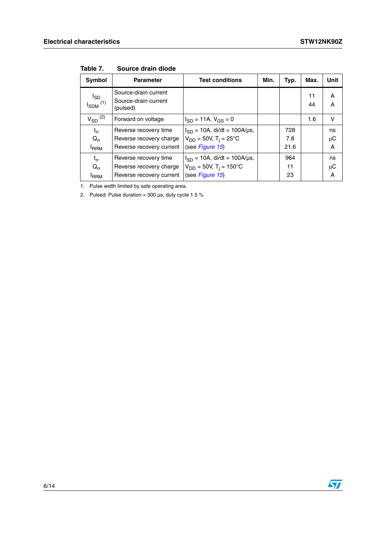| Symbol                               | <b>Parameter</b>                                         | <b>Test conditions</b>                  | Min. | Typ. | Max.     | Unit    |
|--------------------------------------|----------------------------------------------------------|-----------------------------------------|------|------|----------|---------|
| $I_{SD}$<br>$I_{SDM}$ <sup>(1)</sup> | Source-drain current<br>Source-drain current<br>(pulsed) |                                         |      |      | 11<br>44 | Α<br>A  |
| $V_{SD}$ <sup>(2)</sup>              | Forward on voltage                                       | $I_{SD} = 11A$ , $V_{GS} = 0$           |      |      | 1.6      | v       |
| $t_{rr}$                             | Reverse recovery time                                    | $I_{SD} = 10A$ , di/dt = 100A/µs,       |      | 728  |          | ns      |
| $Q_{rr}$                             | Reverse recovery charge                                  | $V_{DD} = 50V$ , T <sub>i</sub> = 25°C  |      | 7.8  |          | $\mu$ C |
| <b>I</b> RRM                         | Reverse recovery current                                 | (see Figure 15)                         |      | 21.6 |          | Α       |
| $t_{rr}$                             | Reverse recovery time                                    | $I_{SD} = 10A$ , di/dt = 100A/µs,       |      | 964  |          | ns      |
| $Q_{rr}$                             | Reverse recovery charge                                  | $V_{DD} = 50V$ , T <sub>i</sub> = 150°C |      | 11   |          | μC      |
| <b>IRRM</b>                          | Reverse recovery current                                 | (see Figure 15)                         |      | 23   |          | A       |

**Table 7. Source drain diode**

1. Pulse width limited by safe operating area.

2. Pulsed: Pulse duration =  $300 \,\mu s$ , duty cycle 1.5 %

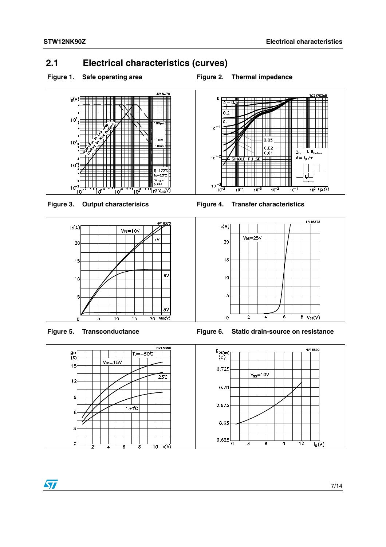### <span id="page-6-0"></span>**2.1 Electrical characteristics (curves)**

Figure 1. Safe operating area **Figure 2. Thermal impedance** 















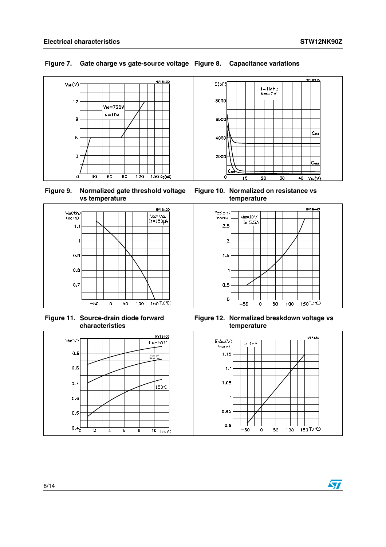### **Figure 7. Gate charge vs gate-source voltage Figure 8. Capacitance variations**



**Figure 9. Normalized gate threshold voltage vs temperature**



**Figure 11. Source-drain diode forward characteristics**



**Figure 10. Normalized on resistance vs temperature**



**Figure 12. Normalized breakdown voltage vs temperature**

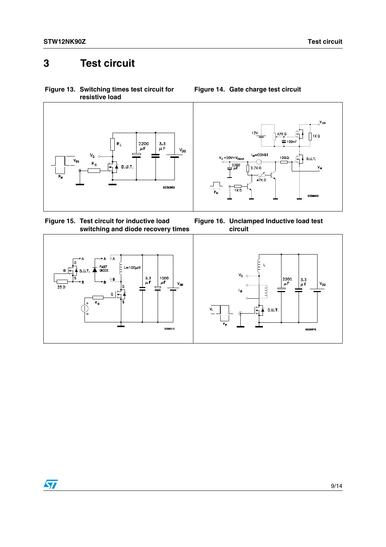# <span id="page-8-0"></span>**3 Test circuit**

<span id="page-8-1"></span>**Figure 13. Switching times test circuit for resistive load**



<span id="page-8-3"></span>**Figure 15. Test circuit for inductive load switching and diode recovery times**







### <span id="page-8-2"></span>**Figure 14. Gate charge test circuit**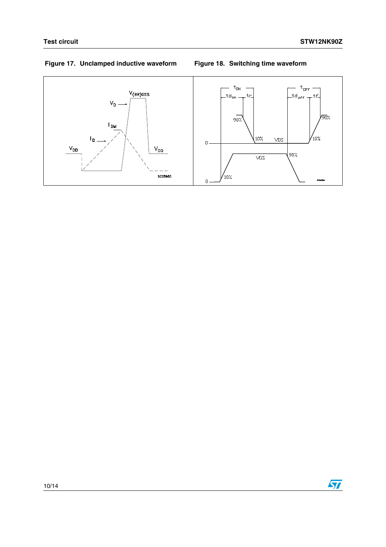### **Figure 17. Unclamped inductive waveform Figure 18. Switching time waveform**



10/14

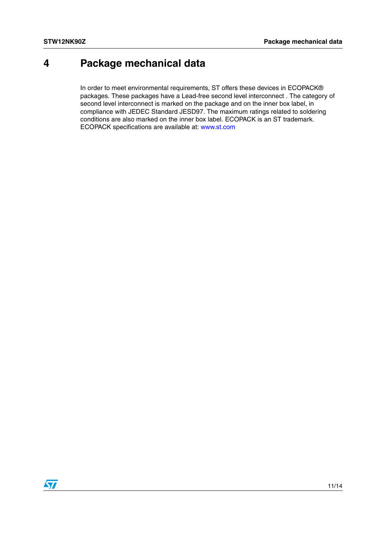# <span id="page-10-0"></span>**4 Package mechanical data**

In order to meet environmental requirements, ST offers these devices in ECOPACK® packages. These packages have a Lead-free second level interconnect . The category of second level interconnect is marked on the package and on the inner box label, in compliance with JEDEC Standard JESD97. The maximum ratings related to soldering conditions are also marked on the inner box label. ECOPACK is an ST trademark. ECOPACK specifications are available at: www.st.com

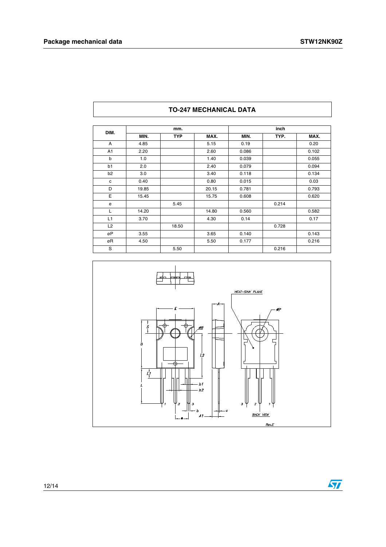| DIM.           |       | mm.        |       |       | inch  |       |  |
|----------------|-------|------------|-------|-------|-------|-------|--|
|                | MIN.  | <b>TYP</b> | MAX.  | MIN.  | TYP.  | MAX.  |  |
| A              | 4.85  |            | 5.15  | 0.19  |       | 0.20  |  |
| A <sub>1</sub> | 2.20  |            | 2.60  | 0.086 |       | 0.102 |  |
| b              | 1.0   |            | 1.40  | 0.039 |       | 0.055 |  |
| b1             | 2.0   |            | 2.40  | 0.079 |       | 0.094 |  |
| b <sub>2</sub> | 3.0   |            | 3.40  | 0.118 |       | 0.134 |  |
| c              | 0.40  |            | 0.80  | 0.015 |       | 0.03  |  |
| D              | 19.85 |            | 20.15 | 0.781 |       | 0.793 |  |
| E              | 15.45 |            | 15.75 | 0.608 |       | 0.620 |  |
| e              |       | 5.45       |       |       | 0.214 |       |  |
| L              | 14.20 |            | 14.80 | 0.560 |       | 0.582 |  |
| L1             | 3.70  |            | 4.30  | 0.14  |       | 0.17  |  |
| L2             |       | 18.50      |       |       | 0.728 |       |  |
| øP             | 3.55  |            | 3.65  | 0.140 |       | 0.143 |  |
| øR             | 4.50  |            | 5.50  | 0.177 |       | 0.216 |  |
| S              |       | 5.50       |       |       | 0.216 |       |  |

#### **TO-247 MECHANICAL DATA**



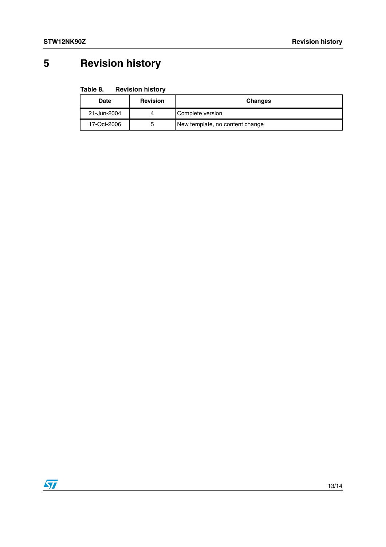# <span id="page-12-0"></span>**5 Revision history**

| Table 8. | <b>Revision history</b> |  |
|----------|-------------------------|--|
|----------|-------------------------|--|

| Date        | <b>Revision</b> | <b>Changes</b>                  |
|-------------|-----------------|---------------------------------|
| 21-Jun-2004 | 4               | Complete version                |
| 17-Oct-2006 | 5               | New template, no content change |